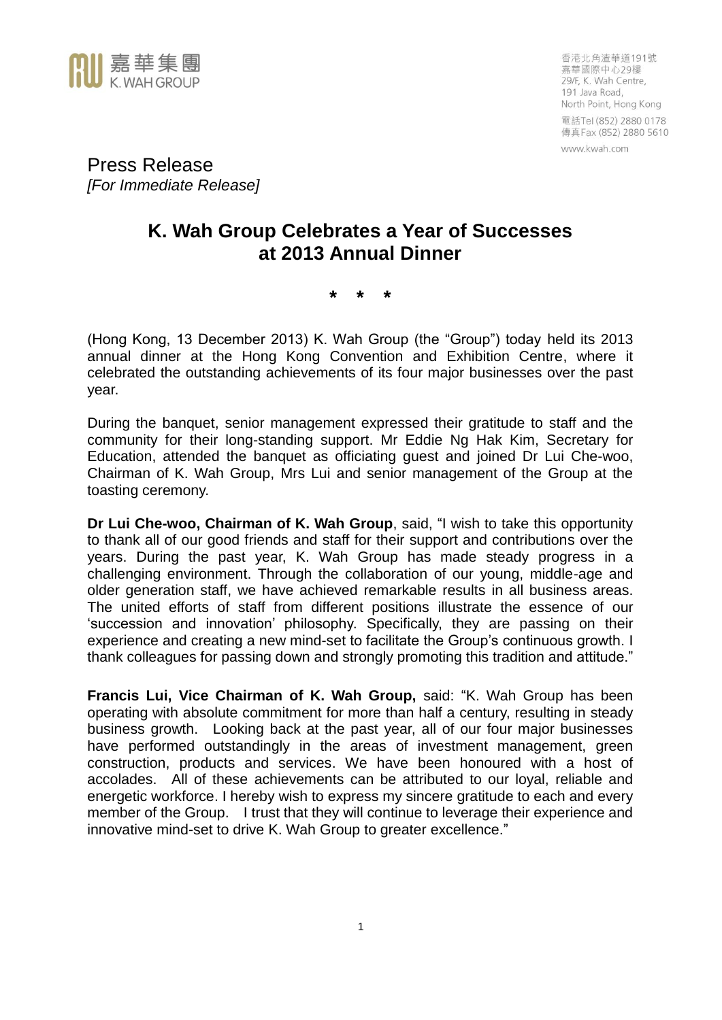

香港北角渣華道191號 嘉華國際中心29樓 29/F, K. Wah Centre, 191 Java Road, North Point, Hong Kong 電話Tel (852) 2880 0178 傳真 Fax (852) 2880 5610 www.kwah.com

Press Release *[For Immediate Release]*

# **K. Wah Group Celebrates a Year of Successes at 2013 Annual Dinner**

**\* \* \***

(Hong Kong, 13 December 2013) K. Wah Group (the "Group") today held its 2013 annual dinner at the Hong Kong Convention and Exhibition Centre, where it celebrated the outstanding achievements of its four major businesses over the past year.

During the banquet, senior management expressed their gratitude to staff and the community for their long-standing support. Mr Eddie Ng Hak Kim, Secretary for Education, attended the banquet as officiating guest and joined Dr Lui Che-woo, Chairman of K. Wah Group, Mrs Lui and senior management of the Group at the toasting ceremony.

**Dr Lui Che-woo, Chairman of K. Wah Group**, said, "I wish to take this opportunity to thank all of our good friends and staff for their support and contributions over the years. During the past year, K. Wah Group has made steady progress in a challenging environment. Through the collaboration of our young, middle-age and older generation staff, we have achieved remarkable results in all business areas. The united efforts of staff from different positions illustrate the essence of our 'succession and innovation' philosophy. Specifically, they are passing on their experience and creating a new mind-set to facilitate the Group's continuous growth. I thank colleagues for passing down and strongly promoting this tradition and attitude."

**Francis Lui, Vice Chairman of K. Wah Group,** said: "K. Wah Group has been operating with absolute commitment for more than half a century, resulting in steady business growth. Looking back at the past year, all of our four major businesses have performed outstandingly in the areas of investment management, green construction, products and services. We have been honoured with a host of accolades. All of these achievements can be attributed to our loyal, reliable and energetic workforce. I hereby wish to express my sincere gratitude to each and every member of the Group. I trust that they will continue to leverage their experience and innovative mind-set to drive K. Wah Group to greater excellence."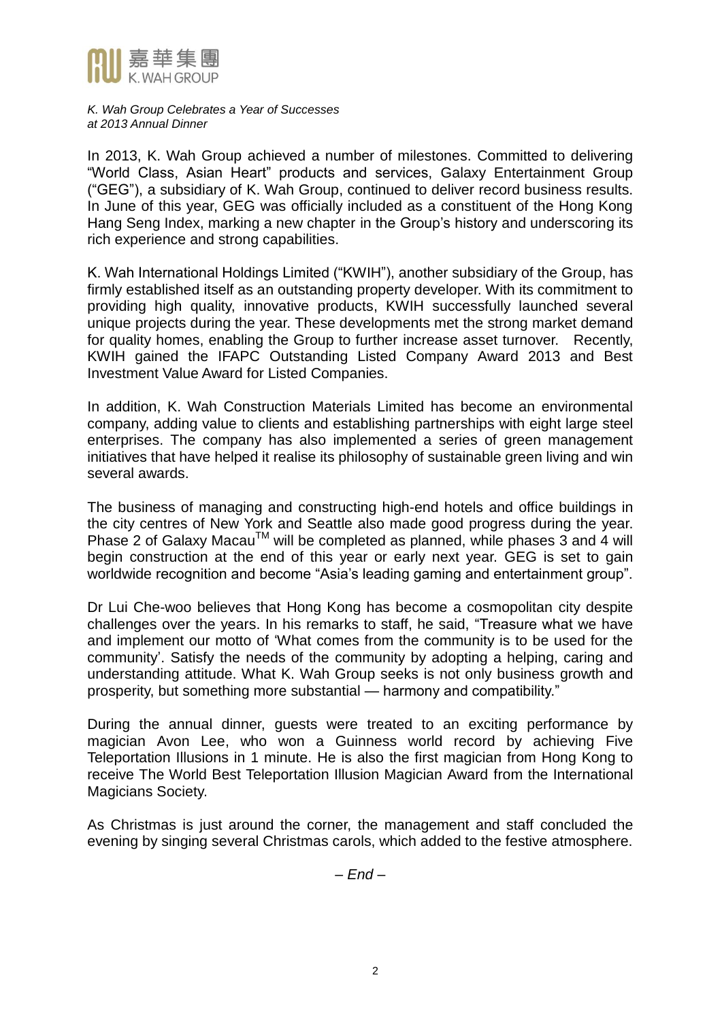

In 2013, K. Wah Group achieved a number of milestones. Committed to delivering "World Class, Asian Heart" products and services, Galaxy Entertainment Group ("GEG"), a subsidiary of K. Wah Group, continued to deliver record business results. In June of this year, GEG was officially included as a constituent of the Hong Kong Hang Seng Index, marking a new chapter in the Group's history and underscoring its rich experience and strong capabilities.

K. Wah International Holdings Limited ("KWIH"), another subsidiary of the Group, has firmly established itself as an outstanding property developer. With its commitment to providing high quality, innovative products, KWIH successfully launched several unique projects during the year. These developments met the strong market demand for quality homes, enabling the Group to further increase asset turnover. Recently, KWIH gained the IFAPC Outstanding Listed Company Award 2013 and Best Investment Value Award for Listed Companies.

In addition, K. Wah Construction Materials Limited has become an environmental company, adding value to clients and establishing partnerships with eight large steel enterprises. The company has also implemented a series of green management initiatives that have helped it realise its philosophy of sustainable green living and win several awards.

The business of managing and constructing high-end hotels and office buildings in the city centres of New York and Seattle also made good progress during the year. Phase 2 of Galaxy Macau<sup>TM</sup> will be completed as planned, while phases 3 and 4 will begin construction at the end of this year or early next year. GEG is set to gain worldwide recognition and become "Asia's leading gaming and entertainment group".

Dr Lui Che-woo believes that Hong Kong has become a cosmopolitan city despite challenges over the years. In his remarks to staff, he said, "Treasure what we have and implement our motto of 'What comes from the community is to be used for the community'. Satisfy the needs of the community by adopting a helping, caring and understanding attitude. What K. Wah Group seeks is not only business growth and prosperity, but something more substantial — harmony and compatibility."

During the annual dinner, guests were treated to an exciting performance by magician Avon Lee, who won a Guinness world record by achieving Five Teleportation Illusions in 1 minute. He is also the first magician from Hong Kong to receive The World Best Teleportation Illusion Magician Award from the International Magicians Society.

As Christmas is just around the corner, the management and staff concluded the evening by singing several Christmas carols, which added to the festive atmosphere.

*– End –*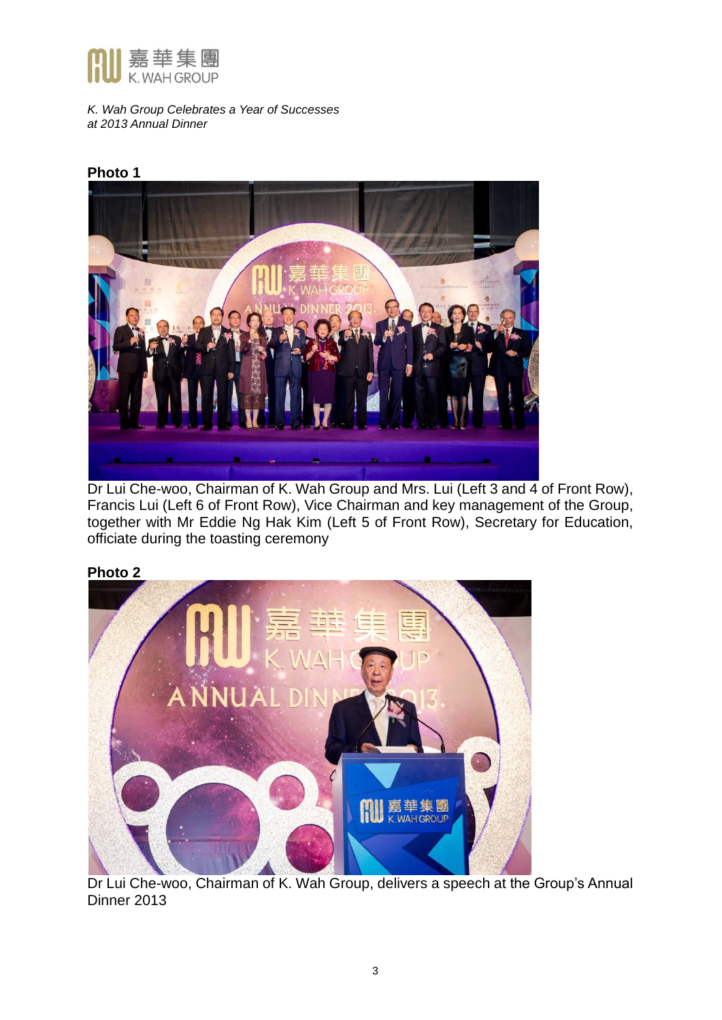

# **Photo 1**



Dr Lui Che-woo, Chairman of K. Wah Group and Mrs. Lui (Left 3 and 4 of Front Row), Francis Lui (Left 6 of Front Row), Vice Chairman and key management of the Group, together with Mr Eddie Ng Hak Kim (Left 5 of Front Row), Secretary for Education, officiate during the toasting ceremony

# **Photo 2**



Dr Lui Che-woo, Chairman of K. Wah Group, delivers a speech at the Group's Annual Dinner 2013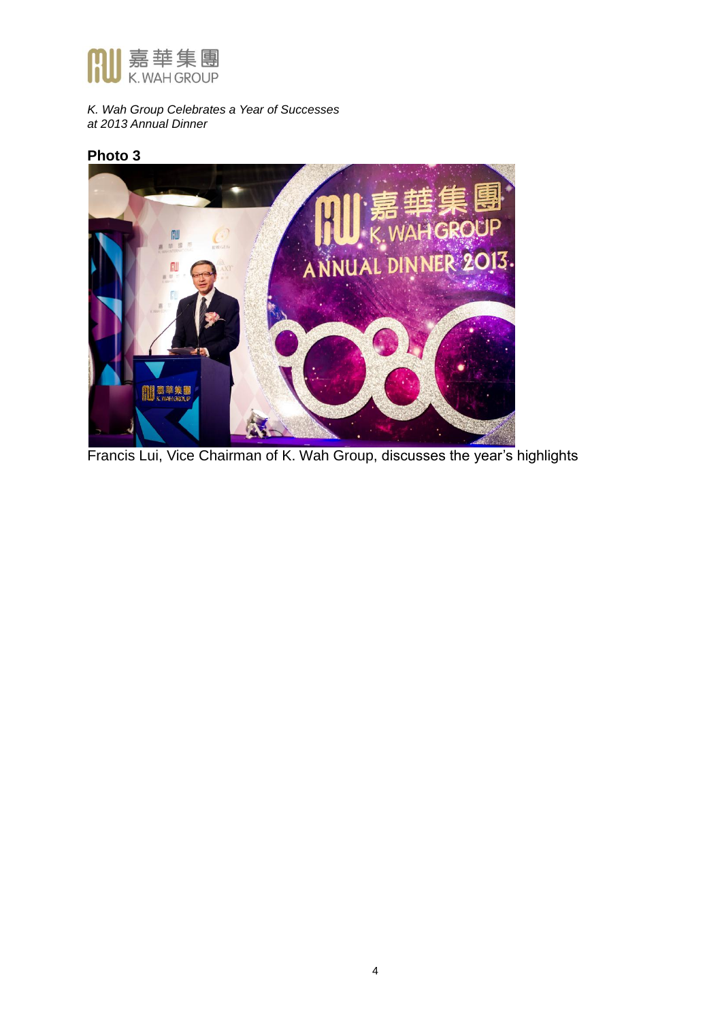

### **Photo 3**



Francis Lui, Vice Chairman of K. Wah Group, discusses the year's highlights